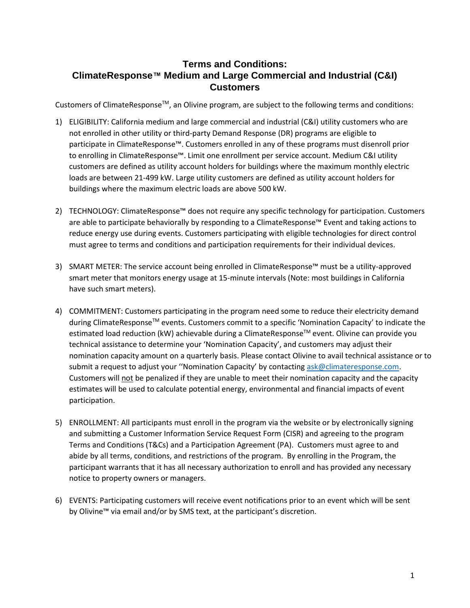## **Terms and Conditions: ClimateResponse™ Medium and Large Commercial and Industrial (C&I) Customers**

Customers of ClimateResponse<sup>™</sup>, an Olivine program, are subject to the following terms and conditions:

- 1) ELIGIBILITY: California medium and large commercial and industrial (C&I) utility customers who are not enrolled in other utility or third-party Demand Response (DR) programs are eligible to participate in ClimateResponse™. Customers enrolled in any of these programs must disenroll prior to enrolling in ClimateResponse™. Limit one enrollment per service account. Medium C&I utility customers are defined as utility account holders for buildings where the maximum monthly electric loads are between 21-499 kW. Large utility customers are defined as utility account holders for buildings where the maximum electric loads are above 500 kW.
- 2) TECHNOLOGY: ClimateResponse™ does not require any specific technology for participation. Customers are able to participate behaviorally by responding to a ClimateResponse™ Event and taking actions to reduce energy use during events. Customers participating with eligible technologies for direct control must agree to terms and conditions and participation requirements for their individual devices.
- 3) SMART METER: The service account being enrolled in ClimateResponse™ must be a utility-approved smart meter that monitors energy usage at 15-minute intervals (Note: most buildings in California have such smart meters).
- 4) COMMITMENT: Customers participating in the program need some to reduce their electricity demand during ClimateResponse™ events. Customers commit to a specific 'Nomination Capacity' to indicate the estimated load reduction (kW) achievable during a ClimateResponse™ event. Olivine can provide you technical assistance to determine your 'Nomination Capacity', and customers may adjust their nomination capacity amount on a quarterly basis. Please contact Olivine to avail technical assistance or to submit a request to adjust your "Nomination Capacity' by contacting [ask@climateresponse.com.](mailto:ask@climateresponse.com) Customers will not be penalized if they are unable to meet their nomination capacity and the capacity estimates will be used to calculate potential energy, environmental and financial impacts of event participation.
- 5) ENROLLMENT: All participants must enroll in the program via the website or by electronically signing and submitting a Customer Information Service Request Form (CISR) and agreeing to the program Terms and Conditions (T&Cs) and a Participation Agreement (PA). Customers must agree to and abide by all terms, conditions, and restrictions of the program. By enrolling in the Program, the participant warrants that it has all necessary authorization to enroll and has provided any necessary notice to property owners or managers.
- 6) EVENTS: Participating customers will receive event notifications prior to an event which will be sent by Olivine™ via email and/or by SMS text, at the participant's discretion.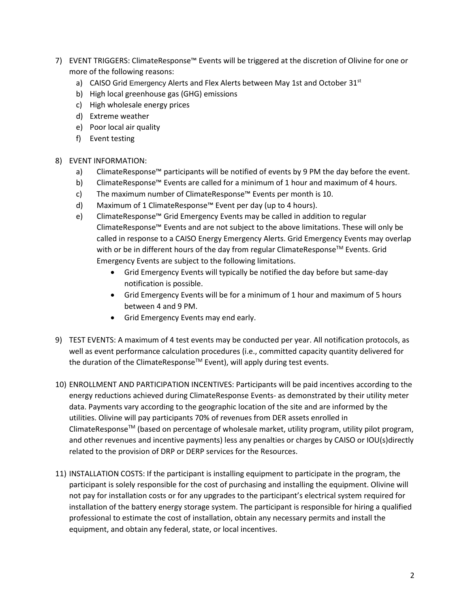- 7) EVENT TRIGGERS: ClimateResponse™ Events will be triggered at the discretion of Olivine for one or more of the following reasons:
	- a) CAISO Grid Emergency Alerts and Flex Alerts between May 1st and October 31st
	- b) High local greenhouse gas (GHG) emissions
	- c) High wholesale energy prices
	- d) Extreme weather
	- e) Poor local air quality
	- f) Event testing

## 8) EVENT INFORMATION:

- a) ClimateResponse™ participants will be notified of events by 9 PM the day before the event.
- b) ClimateResponse™ Events are called for a minimum of 1 hour and maximum of 4 hours.
- c) The maximum number of ClimateResponse™ Events per month is 10.
- d) Maximum of 1 ClimateResponse™ Event per day (up to 4 hours).
- e) ClimateResponse™ Grid Emergency Events may be called in addition to regular ClimateResponse™ Events and are not subject to the above limitations. These will only be called in response to a CAISO Energy Emergency Alerts. Grid Emergency Events may overlap with or be in different hours of the day from regular ClimateResponse<sup>TM</sup> Events. Grid Emergency Events are subject to the following limitations.
	- Grid Emergency Events will typically be notified the day before but same-day notification is possible.
	- Grid Emergency Events will be for a minimum of 1 hour and maximum of 5 hours between 4 and 9 PM.
	- Grid Emergency Events may end early.
- 9) TEST EVENTS: A maximum of 4 test events may be conducted per year. All notification protocols, as well as event performance calculation procedures (i.e., committed capacity quantity delivered for the duration of the ClimateResponse<sup>™</sup> Event), will apply during test events.
- 10) ENROLLMENT AND PARTICIPATION INCENTIVES: Participants will be paid incentives according to the energy reductions achieved during ClimateResponse Events- as demonstrated by their utility meter data. Payments vary according to the geographic location of the site and are informed by the utilities. Olivine will pay participants 70% of revenues from DER assets enrolled in ClimateResponse<sup>TM</sup> (based on percentage of wholesale market, utility program, utility pilot program, and other revenues and incentive payments) less any penalties or charges by CAISO or IOU(s)directly related to the provision of DRP or DERP services for the Resources.
- 11) INSTALLATION COSTS: If the participant is installing equipment to participate in the program, the participant is solely responsible for the cost of purchasing and installing the equipment. Olivine will not pay for installation costs or for any upgrades to the participant's electrical system required for installation of the battery energy storage system. The participant is responsible for hiring a qualified professional to estimate the cost of installation, obtain any necessary permits and install the equipment, and obtain any federal, state, or local incentives.